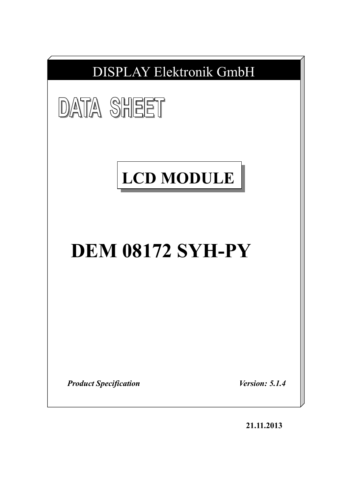

**21.11.2013**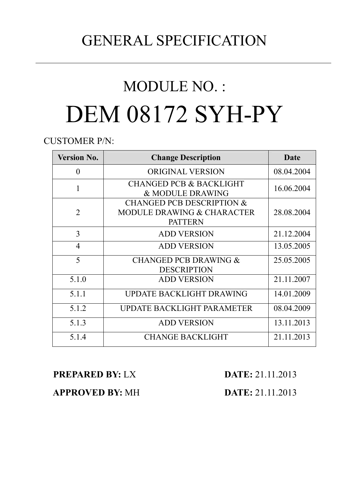# GENERAL SPECIFICATION

# MODULE NO. : DEM 08172 SYH-PY

CUSTOMER P/N:

| <b>Version No.</b> | <b>Change Description</b>                                                            | Date       |
|--------------------|--------------------------------------------------------------------------------------|------------|
| $\theta$           | <b>ORIGINAL VERSION</b>                                                              | 08.04.2004 |
| 1                  | <b>CHANGED PCB &amp; BACKLIGHT</b><br>& MODULE DRAWING                               | 16.06.2004 |
| $\overline{2}$     | <b>CHANGED PCB DESCRIPTION &amp;</b><br>MODULE DRAWING & CHARACTER<br><b>PATTERN</b> | 28.08.2004 |
| 3                  | <b>ADD VERSION</b>                                                                   | 21.12.2004 |
| $\overline{4}$     | <b>ADD VERSION</b>                                                                   | 13.05.2005 |
| 5                  | <b>CHANGED PCB DRAWING &amp;</b><br><b>DESCRIPTION</b>                               | 25.05.2005 |
| 5.1.0              | <b>ADD VERSION</b>                                                                   | 21.11.2007 |
| 5.1.1              | UPDATE BACKLIGHT DRAWING                                                             | 14.01.2009 |
| 5.1.2              | UPDATE BACKLIGHT PARAMETER                                                           | 08.04.2009 |
| 5.1.3              | <b>ADD VERSION</b>                                                                   | 13.11.2013 |
| 5.1.4              | <b>CHANGE BACKLIGHT</b>                                                              | 21.11.2013 |

**PREPARED BY:** LX **DATE:** 21.11.2013

 **APPROVED BY:** MH **DATE:** 21.11.2013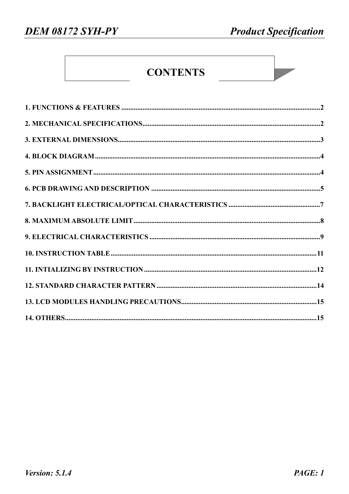# **CONTENTS**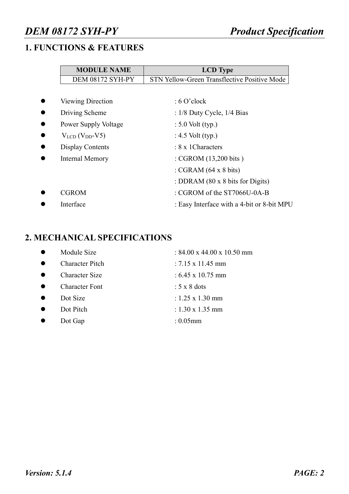# **1. FUNCTIONS & FEATURES**

| <b>MODULE NAME</b>          | <b>LCD</b> Type                              |
|-----------------------------|----------------------------------------------|
| <b>DEM 08172 SYH-PY</b>     | STN Yellow-Green Transflective Positive Mode |
|                             |                                              |
| <b>Viewing Direction</b>    | $: 6$ O'clock                                |
| Driving Scheme              | : $1/8$ Duty Cycle, $1/4$ Bias               |
| <b>Power Supply Voltage</b> | $: 5.0$ Volt (typ.)                          |
| $V_{LCD}$ ( $V_{DD}$ -V5)   | : $4.5$ Volt (typ.)                          |
| Display Contents            | : 8 x 1 Characters                           |
| Internal Memory             | : CGROM (13,200 bits)                        |
|                             | : CGRAM $(64 \times 8 \text{ bits})$         |
|                             | : DDRAM (80 x 8 bits for Digits)             |
| <b>CGROM</b>                | : CGROM of the ST7066U-0A-B                  |
| Interface                   | : Easy Interface with a 4-bit or 8-bit MPU   |
|                             |                                              |

# **2. MECHANICAL SPECIFICATIONS**

| Module Size            | : $84.00 \times 44.00 \times 10.50 \text{ mm}$ |
|------------------------|------------------------------------------------|
| <b>Character Pitch</b> | $: 7.15 \times 11.45$ mm                       |
| <b>Character Size</b>  | $: 6.45 \times 10.75$ mm                       |
| <b>Character Font</b>  | $: 5 \times 8$ dots                            |
| Dot Size               | $: 1.25 \times 1.30$ mm                        |
| Dot Pitch              | $: 1.30 \times 1.35$ mm                        |
| Dot Gap                | : $0.05$ mm                                    |
|                        |                                                |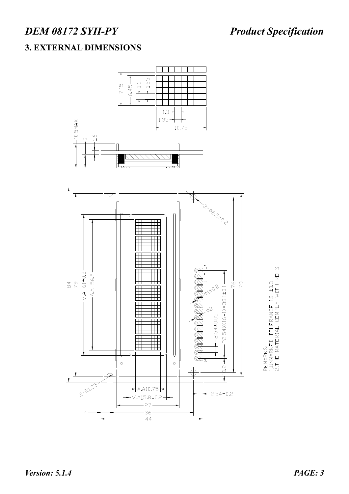# **3. EXTERNAL DIMENSIONS**

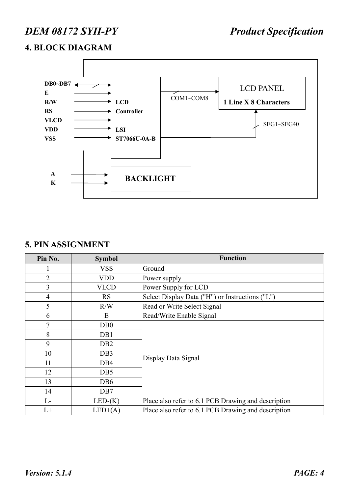# **4. BLOCK DIAGRAM**



### **5. PIN ASSIGNMENT**

| Pin No.        | <b>Symbol</b>    | <b>Function</b>                                     |
|----------------|------------------|-----------------------------------------------------|
|                | <b>VSS</b>       | Ground                                              |
| $\overline{2}$ | <b>VDD</b>       | Power supply                                        |
| $\overline{3}$ | <b>VLCD</b>      | Power Supply for LCD                                |
| 4              | <b>RS</b>        | Select Display Data ("H") or Instructions ("L")     |
| 5              | R/W              | Read or Write Select Signal                         |
| 6              | E                | Read/Write Enable Signal                            |
| 7              | D <sub>B</sub> 0 |                                                     |
| 8              | DB1              |                                                     |
| 9              | D <sub>B2</sub>  |                                                     |
| 10             | DB <sub>3</sub>  |                                                     |
| 11             | DB4              | Display Data Signal                                 |
| 12             | DB <sub>5</sub>  |                                                     |
| 13             | DB <sub>6</sub>  |                                                     |
| 14             | DB7              |                                                     |
| $L-$           | $LED-(K)$        | Place also refer to 6.1 PCB Drawing and description |
| $L+$           | $LED+(A)$        | Place also refer to 6.1 PCB Drawing and description |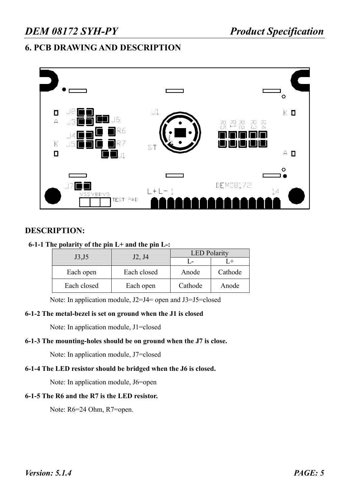# *DEM 08172 SYH-PY Product Specification*

# **6. PCB DRAWING AND DESCRIPTION**



### **DESCRIPTION:**

### **6-1-1 The polarity of the pin L+ and the pin L-:**

| J3 <sub>15</sub> | J2, J4      | <b>LED</b> Polarity |         |  |  |  |
|------------------|-------------|---------------------|---------|--|--|--|
|                  |             |                     |         |  |  |  |
| Each open        | Each closed | Anode               | Cathode |  |  |  |
| Each closed      | Each open   | Cathode             | Anode   |  |  |  |

Note: In application module, J2=J4= open and J3=J5=closed

#### **6-1-2 The metal-bezel is set on ground when the J1 is closed**

Note: In application module, J1=closed

#### **6-1-3 The mounting-holes should be on ground when the J7 is close.**

Note: In application module, J7=closed

### **6-1-4 The LED resistor should be bridged when the J6 is closed.**

Note: In application module, J6=open

### **6-1-5 The R6 and the R7 is the LED resistor.**

Note: R6=24 Ohm, R7=open.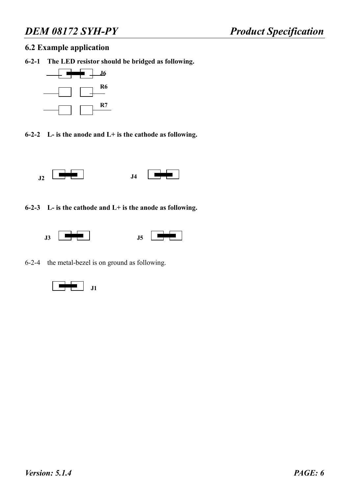### **6.2 Example application**

**6-2-1 The LED resistor should be bridged as following.** 



**6-2-2 L- is the anode and L+ is the cathode as following.** 





**6-2-3 L- is the cathode and L+ is the anode as following.** 





6-2-4 the metal-bezel is on ground as following.

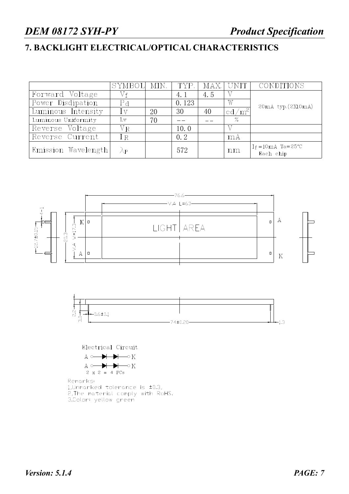# **7. BACKLIGHT ELECTRICAL/OPTICAL CHARACTERISTICS**

|                     | SYMBOL MIN.    |    | TYP.  |     | MAX.  UNIT        | CONDITIONS                        |
|---------------------|----------------|----|-------|-----|-------------------|-----------------------------------|
| Forward Voltage     | Vf             |    | 4.1   | 4.5 |                   |                                   |
| Power Disdipation   | P <sub>d</sub> |    | 0.123 |     | W                 | 20mA typ.(2X10mA)                 |
| Luminous Intensity  | Ιv             | 20 | 30    | 40  | cd/m <sup>2</sup> |                                   |
| Luminous Uniformity | Lv             | 70 |       |     | $\%$              |                                   |
| Reverse Voltage     | $\rm{V_{R}}$   |    | 10.0  |     |                   |                                   |
| Reverse Current     | ΙR             |    | 0.2   |     | mA                |                                   |
| Emission Wavelength | λр             |    | 572   |     | nm                | $I_f = 10mA$ Ta=25°C<br>Each chip |







Remarks: 1, Unmarked tolerance is  $\pm 0.3$ , 2, The material comply with RoHS. 3.Color: yellow green

*Version: 5.1.4 PAGE: 7*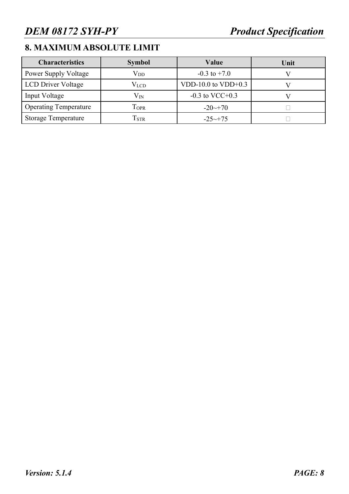# **8. MAXIMUM ABSOLUTE LIMIT**

| <b>Characteristics</b>       | <b>Symbol</b>               | Value                | Unit |
|------------------------------|-----------------------------|----------------------|------|
| <b>Power Supply Voltage</b>  | $\rm V_{DD}$                | $-0.3$ to $+7.0$     |      |
| <b>LCD</b> Driver Voltage    | $\rm V_{LCD}$               | VDD-10.0 to VDD+0.3  |      |
| Input Voltage                | $V_{N}$                     | $-0.3$ to VCC+0.3    |      |
| <b>Operating Temperature</b> | TOPR                        | $-20 \rightarrow 70$ |      |
| Storage Temperature          | $\mathrm{T}_{\mathrm{STR}}$ | $-25 \rightarrow 75$ |      |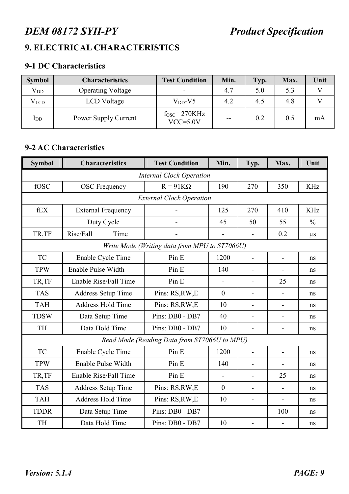# **9. ELECTRICAL CHARACTERISTICS**

# **9-1 DC Characteristics**

| <b>Symbol</b> | <b>Characteristics</b>   | <b>Test Condition</b>         | Min. | Typ. | Max. | Unit |
|---------------|--------------------------|-------------------------------|------|------|------|------|
| $V_{DD}$      | <b>Operating Voltage</b> |                               | 4.7  | 5.0  | 5.3  |      |
| $V_{LCD}$     | LCD Voltage              | $V_{DD}$ -V5                  | 4.2  | 4.5  | 4.8  |      |
| $_{\rm{IDD}}$ | Power Supply Current     | $fOSC=270KHz$<br>$VCC = 5.0V$ | --   | 0.2  | 0.5  | mA   |

# **9-2 AC Characteristics**

| <b>Symbol</b>                                 | <b>Characteristics</b>    | <b>Test Condition</b>                        | Min.           | Typ.                     | Max.                     | Unit          |  |  |  |  |  |  |
|-----------------------------------------------|---------------------------|----------------------------------------------|----------------|--------------------------|--------------------------|---------------|--|--|--|--|--|--|
|                                               |                           | <b>Internal Clock Operation</b>              |                |                          |                          |               |  |  |  |  |  |  |
| fOSC                                          | <b>OSC</b> Frequency      | $R = 91K\Omega$                              | 190            | 270                      | 350                      | <b>KHz</b>    |  |  |  |  |  |  |
|                                               |                           | <b>External Clock Operation</b>              |                |                          |                          |               |  |  |  |  |  |  |
| fEX                                           | <b>External Frequency</b> |                                              | 125            | 270                      | 410                      | <b>KHz</b>    |  |  |  |  |  |  |
|                                               | Duty Cycle                |                                              | 45             | 50                       | 55                       | $\frac{0}{0}$ |  |  |  |  |  |  |
| TR,TF                                         | Rise/Fall<br>Time         |                                              | $\blacksquare$ | $\overline{a}$           | 0.2                      | $\mu$ s       |  |  |  |  |  |  |
| Write Mode (Writing data from MPU to ST7066U) |                           |                                              |                |                          |                          |               |  |  |  |  |  |  |
| <b>TC</b>                                     | Enable Cycle Time         | Pin E                                        | 1200           |                          | $\blacksquare$           | ns            |  |  |  |  |  |  |
| <b>TPW</b>                                    | Enable Pulse Width        | Pin E                                        | 140            | $\blacksquare$           |                          | ns            |  |  |  |  |  |  |
| TR,TF                                         | Enable Rise/Fall Time     | Pin E                                        | $\overline{a}$ | $\blacksquare$           | 25                       | ns            |  |  |  |  |  |  |
| <b>TAS</b>                                    | <b>Address Setup Time</b> | Pins: RS, RW, E                              | $\overline{0}$ |                          |                          | ns            |  |  |  |  |  |  |
| <b>TAH</b>                                    | <b>Address Hold Time</b>  | Pins: RS, RW, E                              | 10             | L.                       |                          | ns            |  |  |  |  |  |  |
| <b>TDSW</b>                                   | Data Setup Time           | Pins: DB0 - DB7                              | 40             | -                        |                          | ns            |  |  |  |  |  |  |
| <b>TH</b>                                     | Data Hold Time            | Pins: DB0 - DB7                              | 10             | $\overline{\phantom{a}}$ | $\overline{\phantom{a}}$ | ns            |  |  |  |  |  |  |
|                                               |                           | Read Mode (Reading Data from ST7066U to MPU) |                |                          |                          |               |  |  |  |  |  |  |
| <b>TC</b>                                     | Enable Cycle Time         | Pin E                                        | 1200           | $\overline{a}$           | $\overline{a}$           | ns            |  |  |  |  |  |  |
| <b>TPW</b>                                    | Enable Pulse Width        | Pin E                                        | 140            | $\overline{\phantom{a}}$ |                          | ns            |  |  |  |  |  |  |
| TR,TF                                         | Enable Rise/Fall Time     | Pin E                                        | $\blacksquare$ | $\blacksquare$           | 25                       | ns            |  |  |  |  |  |  |
| <b>TAS</b>                                    | <b>Address Setup Time</b> | Pins: RS, RW, E                              | $\overline{0}$ | $\overline{a}$           |                          | ns            |  |  |  |  |  |  |
| <b>TAH</b>                                    | <b>Address Hold Time</b>  | Pins: RS, RW, E                              | 10             | $\blacksquare$           | $\blacksquare$           | ns            |  |  |  |  |  |  |
| <b>TDDR</b>                                   | Data Setup Time           | Pins: DB0 - DB7                              | $\blacksquare$ | $\overline{a}$           | 100                      | ns            |  |  |  |  |  |  |
| TH                                            | Data Hold Time            | Pins: DB0 - DB7                              | 10             | $\blacksquare$           | $\blacksquare$           | ns            |  |  |  |  |  |  |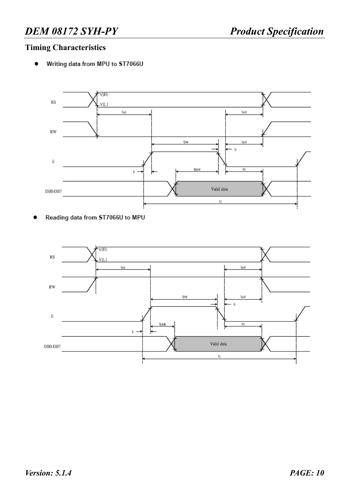# **Timing Characteristics**

Writing data from MPU to ST7066U  $\bullet$ 



Reading data from ST7066U to MPU  $\bullet$ 

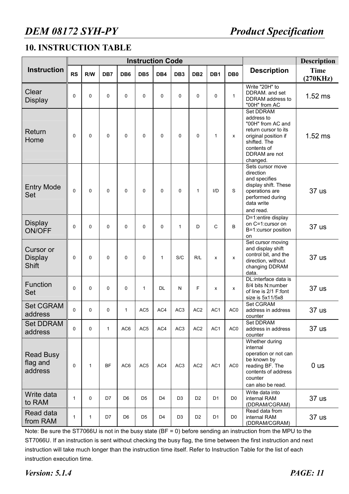# **10. INSTRUCTION TABLE**

|                                             |              |              |              | <b>Instruction Code</b> |                 | <b>Description</b> |                 |                 |                |                 |                                                                                                                                                          |                         |
|---------------------------------------------|--------------|--------------|--------------|-------------------------|-----------------|--------------------|-----------------|-----------------|----------------|-----------------|----------------------------------------------------------------------------------------------------------------------------------------------------------|-------------------------|
| <b>Instruction</b>                          | <b>RS</b>    | R/W          | DB7          | DB <sub>6</sub>         | DB <sub>5</sub> | DB4                | DB <sub>3</sub> | DB <sub>2</sub> | DB1            | DB <sub>0</sub> | <b>Description</b>                                                                                                                                       | <b>Time</b><br>(270KHz) |
| Clear<br><b>Display</b>                     | $\pmb{0}$    | 0            | 0            | $\mathbf 0$             | 0               | $\mathbf 0$        | 0               | $\mathbf 0$     | $\mathbf 0$    | $\mathbf{1}$    | Write "20H" to<br>DDRAM. and set<br>DDRAM address to<br>"00H" from AC                                                                                    | $1.52$ ms               |
| Return<br>Home                              | $\mathbf 0$  | 0            | 0            | $\mathbf 0$             | $\Omega$        | $\Omega$           | $\Omega$        | $\mathbf 0$     | $\mathbf{1}$   | x               | Set DDRAM<br>address to<br>"00H" from AC and<br>return cursor to its<br>original position if<br>shifted. The<br>contents of<br>DDRAM are not<br>changed. | $1.52$ ms               |
| <b>Entry Mode</b><br>Set                    | $\mathbf 0$  | 0            | 0            | $\mathbf 0$             | $\Omega$        | $\Omega$           | $\mathbf 0$     | $\mathbf{1}$    | $1/D$          | S               | Sets cursor move<br>direction<br>and specifies<br>display shift. These<br>operations are<br>performed during<br>data write<br>and read.                  | 37 us                   |
| <b>Display</b><br><b>ON/OFF</b>             | $\mathbf 0$  | 0            | 0            | $\Omega$                | $\Omega$        | $\mathbf 0$        | $\mathbf{1}$    | D               | C              | B               | D=1:entire display<br>on C=1:cursor on<br>B=1:cursor position<br>on                                                                                      | 37 us                   |
| Cursor or<br><b>Display</b><br><b>Shift</b> | 0            | 0            | 0            | $\mathbf 0$             | 0               | $\mathbf{1}$       | S/C             | R/L             | $\mathsf{x}$   | x               | Set cursor moving<br>and display shift<br>control bit, and the<br>direction, without<br>changing DDRAM<br>data.                                          | 37 us                   |
| Function<br>Set                             | $\mathbf 0$  | 0            | 0            | $\mathbf 0$             | 1               | <b>DL</b>          | $\mathsf{N}$    | F               | x              | x               | DL:interface data is<br>8/4 bits N:number<br>of line is 2/1 F:font<br>size is 5x11/5x8                                                                   | 37 us                   |
| <b>Set CGRAM</b><br>address                 | 0            | 0            | 0            | 1                       | AC <sub>5</sub> | AC4                | AC <sub>3</sub> | AC <sub>2</sub> | AC1            | AC <sub>0</sub> | <b>Set CGRAM</b><br>address in address<br>counter                                                                                                        | 37 us                   |
| <b>Set DDRAM</b><br>address                 | 0            | 0            | $\mathbf{1}$ | AC <sub>6</sub>         | AC <sub>5</sub> | AC4                | AC <sub>3</sub> | AC <sub>2</sub> | AC1            | AC <sub>0</sub> | Set DDRAM<br>address in address<br>counter                                                                                                               | 37 us                   |
| <b>Read Busy</b><br>flag and<br>address     | 0            | $\mathbf{1}$ | <b>BF</b>    | AC <sub>6</sub>         | AC <sub>5</sub> | AC4                | AC <sub>3</sub> | AC <sub>2</sub> | AC1            | AC <sub>0</sub> | Whether during<br>internal<br>operation or not can<br>be known by<br>reading BF. The<br>contents of address<br>counter<br>can also be read.              | 0 <sub>us</sub>         |
| Write data<br>to RAM                        | 1            | 0            | D7           | D <sub>6</sub>          | D <sub>5</sub>  | D <sub>4</sub>     | D <sub>3</sub>  | D <sub>2</sub>  | D <sub>1</sub> | D <sub>0</sub>  | Write data into<br>internal RAM<br>(DDRAM/CGRAM)                                                                                                         | 37 us                   |
| Read data<br>from RAM                       | $\mathbf{1}$ | $\mathbf{1}$ | D7           | D <sub>6</sub>          | D <sub>5</sub>  | D <sub>4</sub>     | D <sub>3</sub>  | D <sub>2</sub>  | D <sub>1</sub> | D <sub>0</sub>  | Read data from<br>internal RAM<br>(DDRAM/CGRAM)                                                                                                          | 37 us                   |

Note: Be sure the ST7066U is not in the busy state (BF = 0) before sending an instruction from the MPU to the ST7066U. If an instruction is sent without checking the busy flag, the time between the first instruction and next instruction will take much longer than the instruction time itself. Refer to Instruction Table for the list of each instruction execution time.

*Version: 5.1.4 PAGE: 11*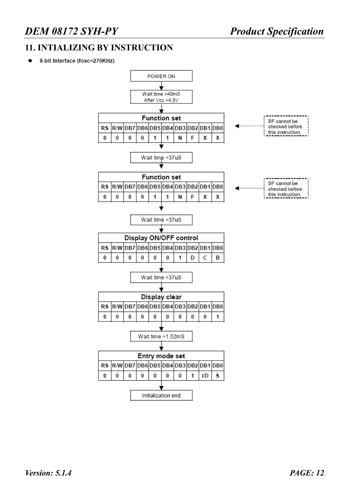# *DEM 08172 SYH-PY Product Specification*

# **11. INTIALIZING BY INSTRUCTION**

8-bit Interface (fosc=270KHz)

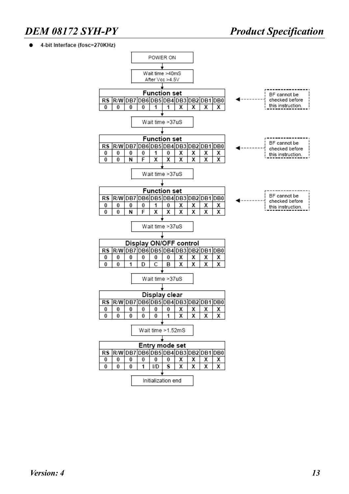#### 4-bit Interface (fosc=270KHz)

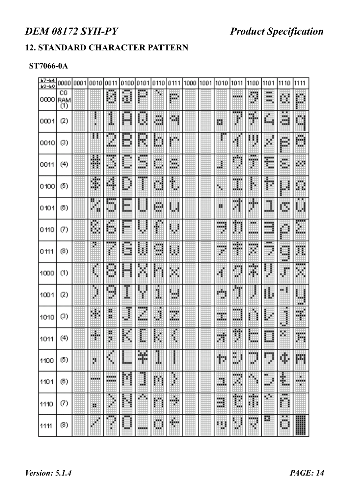# **12. STANDARD CHARACTER PATTERN**

# **ST7066-0A**

| Ь7-Ь4<br>$b3-b0$ | 0000              | 0001 | 0010 | 0011          | 0100      | 0101    | 0110             | 0111       | 1000 | 1001 | 1010            | 1011                   | 1100               | 1101                            | 1110                | 1111    |
|------------------|-------------------|------|------|---------------|-----------|---------|------------------|------------|------|------|-----------------|------------------------|--------------------|---------------------------------|---------------------|---------|
| 0000             | CG<br>RAM<br>(1)  |      |      | H             | d         | 鼺       | ×                | m.         |      |      |                 | ---                    | D                  | ж<br>mar.<br>ж                  | C.                  | m       |
| 0001             | (2)               |      | н    | l             | Ш         | š,<br>œ | E.               | ×.         |      |      | E.              | ¥                      | жu<br>雕            | 瞓                               | . .<br>ã            | a       |
| 0010             | (3)               |      |      | Ш             | D         | 圞       | D                | 睜          |      |      |                 | ۰                      | H                  | Ħ.                              | B.                  | ж<br>₩  |
| 0011             | (4)               |      | Ħ    | E<br>Hщ       | щb        | u.<br>  | ж<br>шr          | W.<br>an a |      |      | H               | .<br>×                 | ┅<br>,,,,,         | E                               | H.                  | ŘИ      |
| 0100             | (5)               |      | ī    | H.            | <br>₩     |         | d                | ۰          |      |      | \$              | ı                      | i.                 | ₩                               | 瞤                   | Ö.      |
| 0101             | (6)               |      | E,   | 飋<br>ЛW       | L.        |         | ₩                | ш          |      |      | 腏               | .<br>Ш                 | W.<br>×            | 1                               | D                   | ₩       |
| 0110             | Ø                 |      | ŝ    | 踂<br>ш        | <br>Port. |         | I                | 鞄          |      |      | .<br>an an<br>¢ | Ħ                      | ш<br>an an         | <b>MARKET</b><br>- - -<br>an in | D                   | E       |
| 0111             | (8)               |      | Ø.   | <br>ř         | J.        | ı.      | man a<br>щ<br>m. | W          |      |      | .<br>×          | Ŧ                      | ang.<br>U,         | <br><br>z                       | ang.<br>W.<br>man i | Ħ,      |
| 1000             | (1)               |      | ŧ    | ö             | M.        |         |                  | W.         |      |      | ¢               | U                      | 驜                  | ł                               | ₽                   | œ<br>×  |
| 1001             | (2)               |      | ł    | --<br>ш<br>u. | Ţ<br>a.   |         | Ĩ.               | щ<br>xx.   |      |      | ada.<br>×       | žщ<br>J.               |                    | 鼸                               | w.                  | 9       |
| 1010             | (3)               |      | W,   | 韻<br>ж        | H         | <br>H.  | đ                | Ø.         |      |      | ш<br>щú         | mana a<br><b>Angel</b> |                    | I.<br>φθ                        | ļ<br>w.             | ۳       |
| 1011             | (4)               |      | H    | н<br>ж        |           |         |                  |            |      |      | 灘               |                        |                    |                                 | W.                  | 豒       |
| 1100             | $\left( 5\right)$ |      | Ņ.   | H             | Ш         | P.      | ш                |            |      |      | p               | m<br>MI 3<br>w.        | 30000<br>w.        | 10000<br>÷                      | ğ.                  | 翢       |
| 1101             | (6)               |      |      | .<br>en en d  |           | 4       | m                | ł          |      |      | U.              | Hing<br>W,             | ٩                  | ш<br>ä<br>                      | 鼺                   | ш<br>×. |
| 1110             | (7)               |      | ш    | ٩,<br>U.      |           | Юņ      | m                | ۰          |      |      | H               | ī                      | Ħ                  | ×<br>S.                         | <br>n               |         |
| 1111             | (8)               |      | ∰    | <br>×         | man i     |         | m<br>            | ۰          |      |      | m               | 翢<br>m                 | <b>MARKET</b><br>ш | 罠                               | m<br>ж              | ₩       |